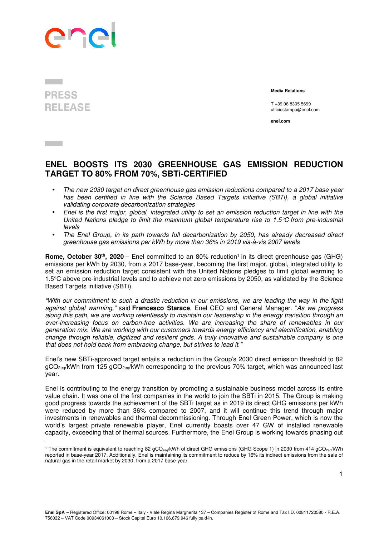

## **PRESS RELEASE**

 $\overline{a}$ 

 **Media Relations** 

T +39 06 8305 5699 ufficiostampa@enel.com

**enel.com**

## **ENEL BOOSTS ITS 2030 GREENHOUSE GAS EMISSION REDUCTION TARGET TO 80% FROM 70%, SBTi-CERTIFIED**

- The new 2030 target on direct greenhouse gas emission reductions compared to a 2017 base year has been certified in line with the Science Based Targets initiative (SBTi), a global initiative validating corporate decarbonization strategies
- Enel is the first major, global, integrated utility to set an emission reduction target in line with the United Nations pledge to limit the maximum global temperature rise to 1.5 $\degree$ C from pre-industrial levels
- The Enel Group, in its path towards full decarbonization by 2050, has already decreased direct greenhouse gas emissions per kWh by more than 36% in 2019 vis-à-vis 2007 levels

**Rome, October 30<sup>th</sup>, 2020** – Enel committed to an 80% reduction<sup>1</sup> in its direct greenhouse gas (GHG) emissions per kWh by 2030, from a 2017 base-year, becoming the first major, global, integrated utility to set an emission reduction target consistent with the United Nations pledges to limit global warming to 1.5°C above pre-industrial levels and to achieve net zero emissions by 2050, as validated by the Science Based Targets initiative (SBTi).

"With our commitment to such a drastic reduction in our emissions, we are leading the way in the fight against global warming," said **Francesco Starace**, Enel CEO and General Manager. "As we progress along this path, we are working relentlessly to maintain our leadership in the energy transition through an ever-increasing focus on carbon-free activities. We are increasing the share of renewables in our generation mix. We are working with our customers towards energy efficiency and electrification, enabling change through reliable, digitized and resilient grids. A truly innovative and sustainable company is one that does not hold back from embracing change, but strives to lead it."

Enel's new SBTi-approved target entails a reduction in the Group's 2030 direct emission threshold to 82  $qCO<sub>2eq</sub>/kWh$  from 125  $qCO<sub>2eq</sub>/kWh$  corresponding to the previous 70% target, which was announced last year.

Enel is contributing to the energy transition by promoting a sustainable business model across its entire value chain. It was one of the first companies in the world to join the SBTi in 2015. The Group is making good progress towards the achievement of the SBTi target as in 2019 its direct GHG emissions per kWh were reduced by more than 36% compared to 2007, and it will continue this trend through major investments in renewables and thermal decommissioning. Through Enel Green Power, which is now the world's largest private renewable player, Enel currently boasts over 47 GW of installed renewable capacity, exceeding that of thermal sources. Furthermore, the Enel Group is working towards phasing out

<sup>&</sup>lt;sup>1</sup> The commitment is equivalent to reaching 82 gCO<sub>2eq</sub>/kWh of direct GHG emissions (GHG Scope 1) in 2030 from 414 gCO<sub>2eq</sub>/kWh reported in base-year 2017. Additionally, Enel is maintaining its commitment to reduce by 16% its indirect emissions from the sale of natural gas in the retail market by 2030, from a 2017 base-year.